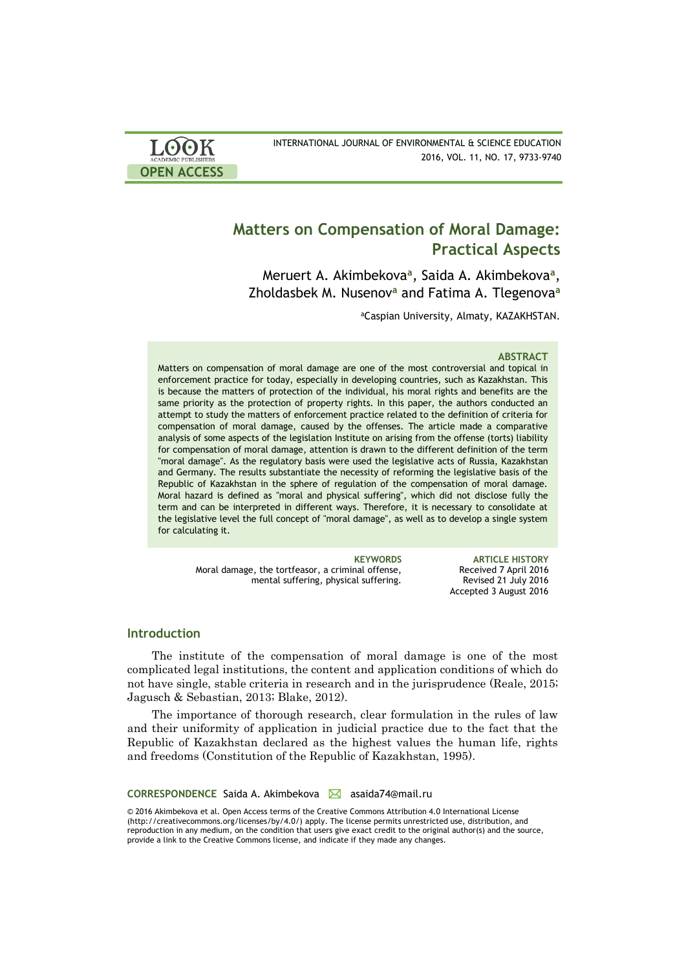

INTERNATIONAL JOURNAL OF ENVIRONMENTAL & SCIENCE EDUCATION 2016, VOL. 11, NO. 17, 9733-9740

# **Matters on Compensation of Moral Damage: Practical Aspects**

Meruert A. Akimbekova**<sup>a</sup>** , Saida A. Akimbekova**<sup>a</sup>** , Zholdasbek M. Nusenov**<sup>a</sup>** and Fatima A. Tlegenova**<sup>a</sup>**

<sup>a</sup>Caspian University, Almaty, KAZAKHSTAN.

### **ABSTRACT**

Matters on compensation of moral damage are one of the most controversial and topical in enforcement practice for today, especially in developing countries, such as Kazakhstan. This is because the matters of protection of the individual, his moral rights and benefits are the same priority as the protection of property rights. In this paper, the authors conducted an attempt to study the matters of enforcement practice related to the definition of criteria for compensation of moral damage, caused by the offenses. The article made a comparative analysis of some aspects of the legislation Institute on arising from the offense (torts) liability for compensation of moral damage, attention is drawn to the different definition of the term "moral damage". As the regulatory basis were used the legislative acts of Russia, Kazakhstan and Germany. The results substantiate the necessity of reforming the legislative basis of the Republic of Kazakhstan in the sphere of regulation of the compensation of moral damage. Moral hazard is defined as "moral and physical suffering", which did not disclose fully the term and can be interpreted in different ways. Therefore, it is necessary to consolidate at the legislative level the full concept of "moral damage", as well as to develop a single system for calculating it.

Moral damage, the tortfeasor, a criminal offense, mental suffering, physical suffering.

**KEYWORDS ARTICLE HISTORY** Received 7 April 2016 Revised 21 July 2016 Accepted 3 August 2016

# **Introduction**

The institute of the compensation of moral damage is one of the most complicated legal institutions, the content and application conditions of which do not have single, stable criteria in research and in the jurisprudence (Reale, 2015; Jagusch & Sebastian, 2013; Blake, 2012).

The importance of thorough research, clear formulation in the rules of law and their uniformity of application in judicial practice due to the fact that the Republic of Kazakhstan declared as the highest values the human life, rights and freedoms (Constitution of the Republic of Kazakhstan, 1995).

**CORRESPONDENCE** Saida A. Akimbekova **△** asaida74@mail.ru

© 2016 Akimbekova et al. Open Access terms of the Creative Commons Attribution 4.0 International License (http://creativecommons.org/licenses/by/4.0/) apply. The license permits unrestricted use, distribution, and reproduction in any medium, on the condition that users give exact credit to the original author(s) and the source, provide a link to the Creative Commons license, and indicate if they made any changes.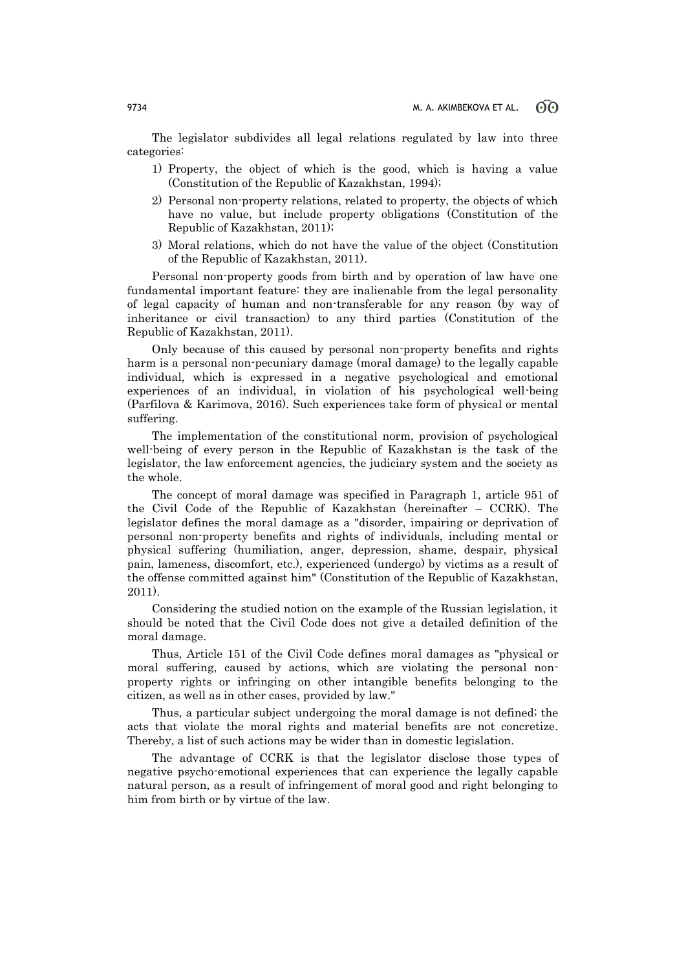The legislator subdivides all legal relations regulated by law into three categories:

- 1) Property, the object of which is the good, which is having a value (Constitution of the Republic of Kazakhstan, 1994);
- 2) Personal non-property relations, related to property, the objects of which have no value, but include property obligations (Constitution of the Republic of Kazakhstan, 2011);
- 3) Moral relations, which do not have the value of the object (Constitution of the Republic of Kazakhstan, 2011).

Personal non-property goods from birth and by operation of law have one fundamental important feature: they are inalienable from the legal personality of legal capacity of human and non-transferable for any reason (by way of inheritance or civil transaction) to any third parties (Constitution of the Republic of Kazakhstan, 2011).

Only because of this caused by personal non-property benefits and rights harm is a personal non-pecuniary damage (moral damage) to the legally capable individual, which is expressed in a negative psychological and emotional experiences of an individual, in violation of his psychological well-being (Parfilova & Karimova, 2016). Such experiences take form of physical or mental suffering.

The implementation of the constitutional norm, provision of psychological well-being of every person in the Republic of Kazakhstan is the task of the legislator, the law enforcement agencies, the judiciary system and the society as the whole.

The concept of moral damage was specified in Paragraph 1, article 951 of the Civil Code of the Republic of Kazakhstan (hereinafter – CCRK). The legislator defines the moral damage as a "disorder, impairing or deprivation of personal non-property benefits and rights of individuals, including mental or physical suffering (humiliation, anger, depression, shame, despair, physical pain, lameness, discomfort, etc.), experienced (undergo) by victims as a result of the offense committed against him" (Constitution of the Republic of Kazakhstan, 2011).

Considering the studied notion on the example of the Russian legislation, it should be noted that the Civil Code does not give a detailed definition of the moral damage.

Thus, Article 151 of the Civil Code defines moral damages as "physical or moral suffering, caused by actions, which are violating the personal nonproperty rights or infringing on other intangible benefits belonging to the citizen, as well as in other cases, provided by law."

Thus, a particular subject undergoing the moral damage is not defined; the acts that violate the moral rights and material benefits are not concretize. Thereby, a list of such actions may be wider than in domestic legislation.

The advantage of CCRK is that the legislator disclose those types of negative psycho-emotional experiences that can experience the legally capable natural person, as a result of infringement of moral good and right belonging to him from birth or by virtue of the law.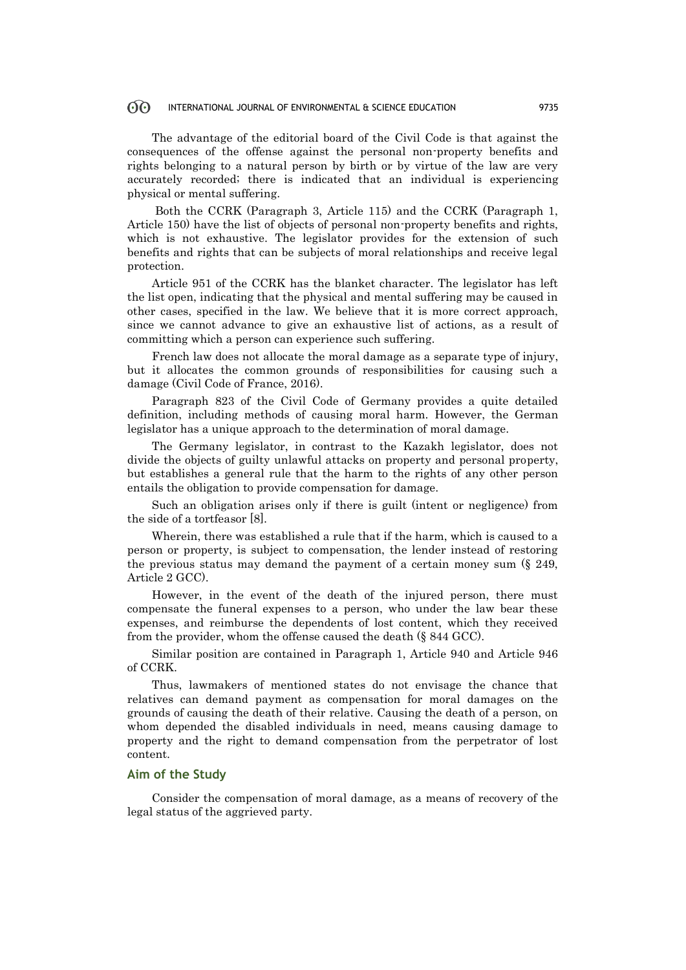#### $\odot$ INTERNATIONAL JOURNAL OF ENVIRONMENTAL & SCIENCE EDUCATION 9735

The advantage of the editorial board of the Civil Code is that against the consequences of the offense against the personal non-property benefits and rights belonging to a natural person by birth or by virtue of the law are very accurately recorded; there is indicated that an individual is experiencing physical or mental suffering.

Both the CCRK (Paragraph 3, Article 115) and the CCRK (Paragraph 1, Article 150) have the list of objects of personal non-property benefits and rights, which is not exhaustive. The legislator provides for the extension of such benefits and rights that can be subjects of moral relationships and receive legal protection.

Article 951 of the CCRK has the blanket character. The legislator has left the list open, indicating that the physical and mental suffering may be caused in other cases, specified in the law. We believe that it is more correct approach, since we cannot advance to give an exhaustive list of actions, as a result of committing which a person can experience such suffering.

French law does not allocate the moral damage as a separate type of injury, but it allocates the common grounds of responsibilities for causing such a damage (Civil Code of France, 2016).

Paragraph 823 of the Civil Code of Germany provides a quite detailed definition, including methods of causing moral harm. However, the German legislator has a unique approach to the determination of moral damage.

The Germany legislator, in contrast to the Kazakh legislator, does not divide the objects of guilty unlawful attacks on property and personal property, but establishes a general rule that the harm to the rights of any other person entails the obligation to provide compensation for damage.

Such an obligation arises only if there is guilt (intent or negligence) from the side of a tortfeasor [8].

Wherein, there was established a rule that if the harm, which is caused to a person or property, is subject to compensation, the lender instead of restoring the previous status may demand the payment of a certain money sum (§ 249, Article 2 GCC).

However, in the event of the death of the injured person, there must compensate the funeral expenses to a person, who under the law bear these expenses, and reimburse the dependents of lost content, which they received from the provider, whom the offense caused the death (§ 844 GCC).

Similar position are contained in Paragraph 1, Article 940 and Article 946 of CCRK.

Thus, lawmakers of mentioned states do not envisage the chance that relatives can demand payment as compensation for moral damages on the grounds of causing the death of their relative. Causing the death of a person, on whom depended the disabled individuals in need, means causing damage to property and the right to demand compensation from the perpetrator of lost content.

# **Aim of the Study**

Consider the compensation of moral damage, as a means of recovery of the legal status of the aggrieved party.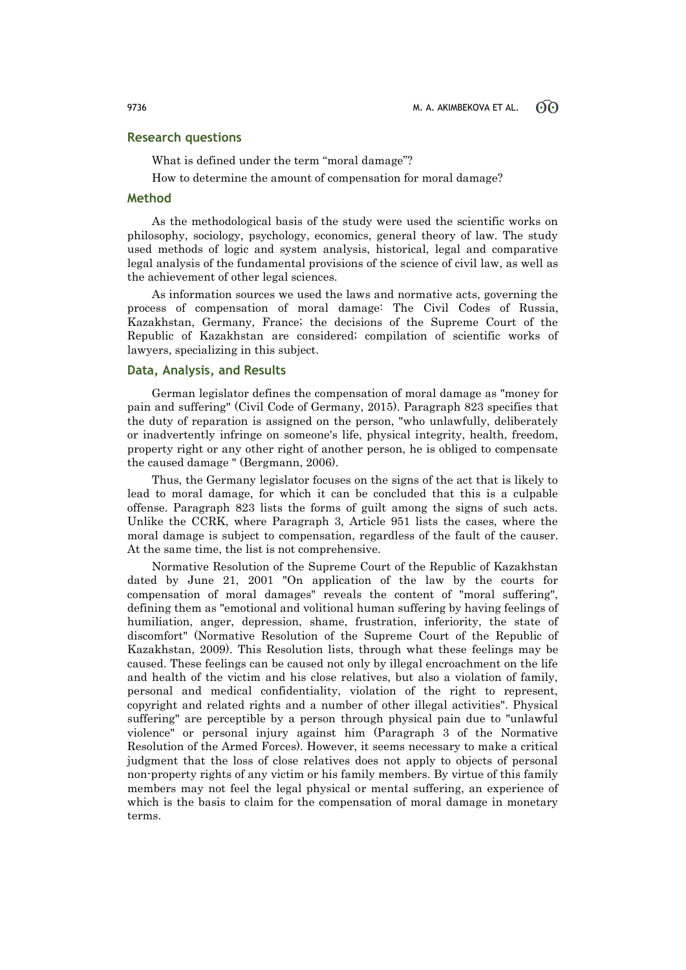# **Research questions**

What is defined under the term "moral damage"?

How to determine the amount of compensation for moral damage?

# **Method**

As the methodological basis of the study were used the scientific works on philosophy, sociology, psychology, economics, general theory of law. The study used methods of logic and system analysis, historical, legal and comparative legal analysis of the fundamental provisions of the science of civil law, as well as the achievement of other legal sciences.

As information sources we used the laws and normative acts, governing the process of compensation of moral damage: The Civil Codes of Russia, Kazakhstan, Germany, France; the decisions of the Supreme Court of the Republic of Kazakhstan are considered; compilation of scientific works of lawyers, specializing in this subject.

# **Data, Analysis, and Results**

German legislator defines the compensation of moral damage as "money for pain and suffering" (Civil Code of Germany, 2015). Paragraph 823 specifies that the duty of reparation is assigned on the person, "who unlawfully, deliberately or inadvertently infringe on someone's life, physical integrity, health, freedom, property right or any other right of another person, he is obliged to compensate the caused damage " (Bergmann, 2006).

Thus, the Germany legislator focuses on the signs of the act that is likely to lead to moral damage, for which it can be concluded that this is a culpable offense. Paragraph 823 lists the forms of guilt among the signs of such acts. Unlike the CCRK, where Paragraph 3, Article 951 lists the cases, where the moral damage is subject to compensation, regardless of the fault of the causer. At the same time, the list is not comprehensive.

Normative Resolution of the Supreme Court of the Republic of Kazakhstan dated by June 21, 2001 "On application of the law by the courts for compensation of moral damages" reveals the content of "moral suffering", defining them as "emotional and volitional human suffering by having feelings of humiliation, anger, depression, shame, frustration, inferiority, the state of discomfort" (Normative Resolution of the Supreme Court of the Republic of Kazakhstan, 2009). This Resolution lists, through what these feelings may be caused. These feelings can be caused not only by illegal encroachment on the life and health of the victim and his close relatives, but also a violation of family, personal and medical confidentiality, violation of the right to represent, copyright and related rights and a number of other illegal activities". Physical suffering" are perceptible by a person through physical pain due to "unlawful violence" or personal injury against him (Paragraph 3 of the Normative Resolution of the Armed Forces). However, it seems necessary to make a critical judgment that the loss of close relatives does not apply to objects of personal non-property rights of any victim or his family members. By virtue of this family members may not feel the legal physical or mental suffering, an experience of which is the basis to claim for the compensation of moral damage in monetary terms.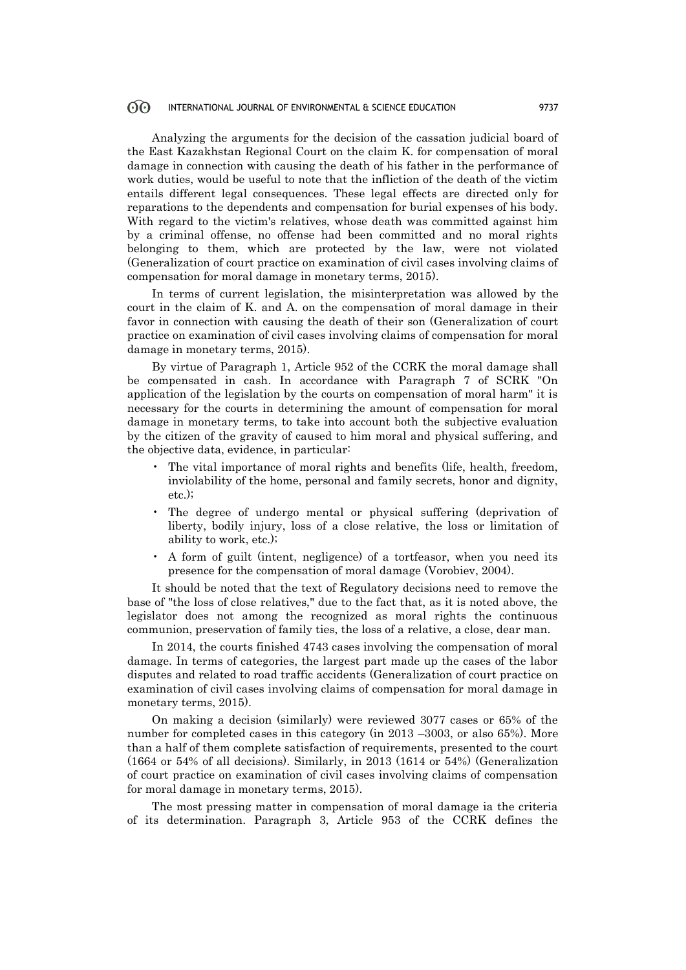#### $60^{\circ}$ INTERNATIONAL JOURNAL OF ENVIRONMENTAL & SCIENCE EDUCATION 9737

Analyzing the arguments for the decision of the cassation judicial board of the East Kazakhstan Regional Court on the claim K. for compensation of moral damage in connection with causing the death of his father in the performance of work duties, would be useful to note that the infliction of the death of the victim entails different legal consequences. These legal effects are directed only for reparations to the dependents and compensation for burial expenses of his body. With regard to the victim's relatives, whose death was committed against him by a criminal offense, no offense had been committed and no moral rights belonging to them, which are protected by the law, were not violated (Generalization of court practice on examination of civil cases involving claims of compensation for moral damage in monetary terms, 2015).

In terms of current legislation, the misinterpretation was allowed by the court in the claim of K. and A. on the compensation of moral damage in their favor in connection with causing the death of their son (Generalization of court practice on examination of civil cases involving claims of compensation for moral damage in monetary terms, 2015).

By virtue of Paragraph 1, Article 952 of the CCRK the moral damage shall be compensated in cash. In accordance with Paragraph 7 of SCRK "On application of the legislation by the courts on compensation of moral harm" it is necessary for the courts in determining the amount of compensation for moral damage in monetary terms, to take into account both the subjective evaluation by the citizen of the gravity of caused to him moral and physical suffering, and the objective data, evidence, in particular:

- The vital importance of moral rights and benefits (life, health, freedom, inviolability of the home, personal and family secrets, honor and dignity, etc.);
- The degree of undergo mental or physical suffering (deprivation of liberty, bodily injury, loss of a close relative, the loss or limitation of ability to work, etc.);
- A form of guilt (intent, negligence) of a tortfeasor, when you need its presence for the compensation of moral damage (Vorobiev, 2004).

It should be noted that the text of Regulatory decisions need to remove the base of "the loss of close relatives," due to the fact that, as it is noted above, the legislator does not among the recognized as moral rights the continuous communion, preservation of family ties, the loss of a relative, a close, dear man.

In 2014, the courts finished 4743 cases involving the compensation of moral damage. In terms of categories, the largest part made up the cases of the labor disputes and related to road traffic accidents (Generalization of court practice on examination of civil cases involving claims of compensation for moral damage in monetary terms, 2015).

On making a decision (similarly) were reviewed 3077 cases or 65% of the number for completed cases in this category (in 2013 –3003, or also 65%). More than a half of them complete satisfaction of requirements, presented to the court (1664 or 54% of all decisions). Similarly, in 2013 (1614 or 54%) (Generalization of court practice on examination of civil cases involving claims of compensation for moral damage in monetary terms, 2015).

The most pressing matter in compensation of moral damage ia the criteria of its determination. Paragraph 3, Article 953 of the CCRK defines the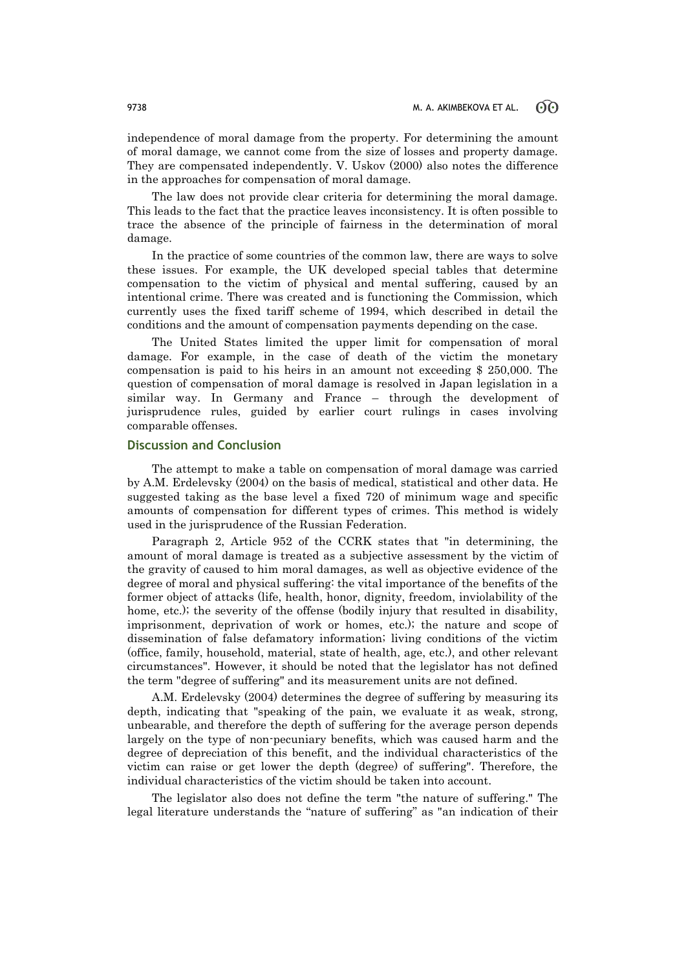independence of moral damage from the property. For determining the amount of moral damage, we cannot come from the size of losses and property damage. They are compensated independently. V. Uskov (2000) also notes the difference in the approaches for compensation of moral damage.

The law does not provide clear criteria for determining the moral damage. This leads to the fact that the practice leaves inconsistency. It is often possible to trace the absence of the principle of fairness in the determination of moral damage.

In the practice of some countries of the common law, there are ways to solve these issues. For example, the UK developed special tables that determine compensation to the victim of physical and mental suffering, caused by an intentional crime. There was created and is functioning the Commission, which currently uses the fixed tariff scheme of 1994, which described in detail the conditions and the amount of compensation payments depending on the case.

The United States limited the upper limit for compensation of moral damage. For example, in the case of death of the victim the monetary compensation is paid to his heirs in an amount not exceeding \$ 250,000. The question of compensation of moral damage is resolved in Japan legislation in a similar way. In Germany and France – through the development of jurisprudence rules, guided by earlier court rulings in cases involving comparable offenses.

### **Discussion and Conclusion**

The attempt to make a table on compensation of moral damage was carried by A.M. Erdelevsky (2004) on the basis of medical, statistical and other data. He suggested taking as the base level a fixed 720 of minimum wage and specific amounts of compensation for different types of crimes. This method is widely used in the jurisprudence of the Russian Federation.

Paragraph 2, Article 952 of the CCRK states that "in determining, the amount of moral damage is treated as a subjective assessment by the victim of the gravity of caused to him moral damages, as well as objective evidence of the degree of moral and physical suffering: the vital importance of the benefits of the former object of attacks (life, health, honor, dignity, freedom, inviolability of the home, etc.); the severity of the offense (bodily injury that resulted in disability, imprisonment, deprivation of work or homes, etc.); the nature and scope of dissemination of false defamatory information; living conditions of the victim (office, family, household, material, state of health, age, etc.), and other relevant circumstances". However, it should be noted that the legislator has not defined the term "degree of suffering" and its measurement units are not defined.

A.M. Erdelevsky (2004) determines the degree of suffering by measuring its depth, indicating that "speaking of the pain, we evaluate it as weak, strong, unbearable, and therefore the depth of suffering for the average person depends largely on the type of non-pecuniary benefits, which was caused harm and the degree of depreciation of this benefit, and the individual characteristics of the victim can raise or get lower the depth (degree) of suffering". Therefore, the individual characteristics of the victim should be taken into account.

The legislator also does not define the term "the nature of suffering." The legal literature understands the "nature of suffering" as "an indication of their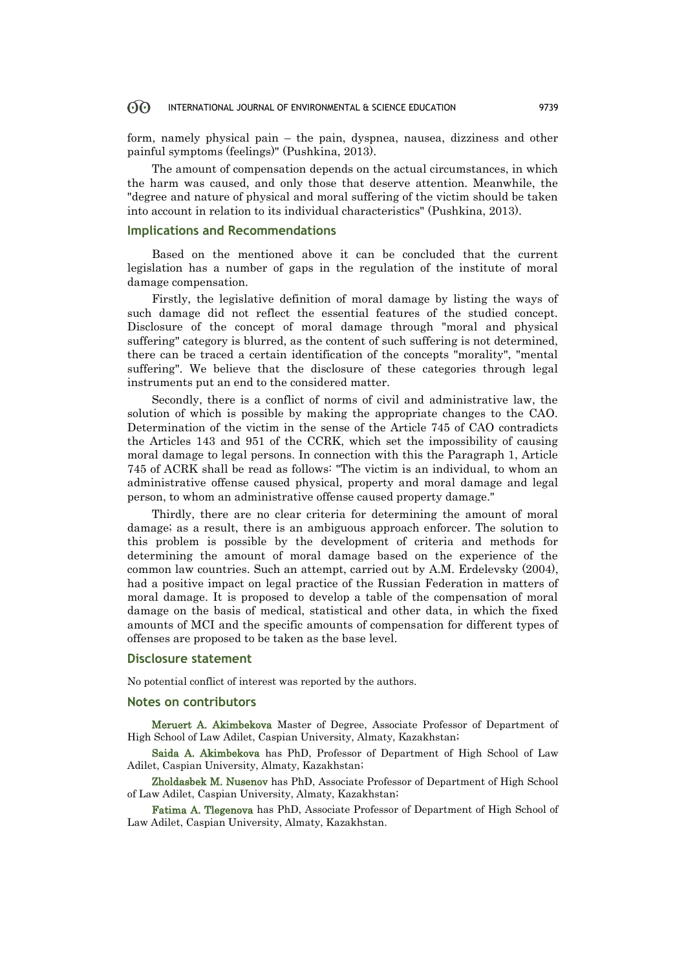#### $60^{\circ}$ INTERNATIONAL JOURNAL OF ENVIRONMENTAL & SCIENCE EDUCATION 9739

form, namely physical pain – the pain, dyspnea, nausea, dizziness and other painful symptoms (feelings)" (Pushkina, 2013).

The amount of compensation depends on the actual circumstances, in which the harm was caused, and only those that deserve attention. Meanwhile, the "degree and nature of physical and moral suffering of the victim should be taken into account in relation to its individual characteristics" (Pushkina, 2013).

### **Implications and Recommendations**

Based on the mentioned above it can be concluded that the current legislation has a number of gaps in the regulation of the institute of moral damage compensation.

Firstly, the legislative definition of moral damage by listing the ways of such damage did not reflect the essential features of the studied concept. Disclosure of the concept of moral damage through "moral and physical suffering" category is blurred, as the content of such suffering is not determined, there can be traced a certain identification of the concepts "morality", "mental suffering". We believe that the disclosure of these categories through legal instruments put an end to the considered matter.

Secondly, there is a conflict of norms of civil and administrative law, the solution of which is possible by making the appropriate changes to the CAO. Determination of the victim in the sense of the Article 745 of CAO contradicts the Articles 143 and 951 of the CCRK, which set the impossibility of causing moral damage to legal persons. In connection with this the Paragraph 1, Article 745 of ACRK shall be read as follows: "The victim is an individual, to whom an administrative offense caused physical, property and moral damage and legal person, to whom an administrative offense caused property damage."

Thirdly, there are no clear criteria for determining the amount of moral damage; as a result, there is an ambiguous approach enforcer. The solution to this problem is possible by the development of criteria and methods for determining the amount of moral damage based on the experience of the common law countries. Such an attempt, carried out by A.M. Erdelevsky (2004), had a positive impact on legal practice of the Russian Federation in matters of moral damage. It is proposed to develop a table of the compensation of moral damage on the basis of medical, statistical and other data, in which the fixed amounts of MCI and the specific amounts of compensation for different types of offenses are proposed to be taken as the base level.

### **Disclosure statement**

No potential conflict of interest was reported by the authors.

# **Notes on contributors**

Meruert A. Akimbekova Master of Degree, Associate Professor of Department of High School of Law Adilet, Caspian University, Almaty, Kazakhstan;

Saida A. Akimbekova has PhD, Professor of Department of High School of Law Adilet, Caspian University, Almaty, Kazakhstan;

Zholdasbek M. Nusenov has PhD, Associate Professor of Department of High School of Law Adilet, Caspian University, Almaty, Kazakhstan;

Fatima A. Tlegenova has PhD, Associate Professor of Department of High School of Law Adilet, Caspian University, Almaty, Kazakhstan.